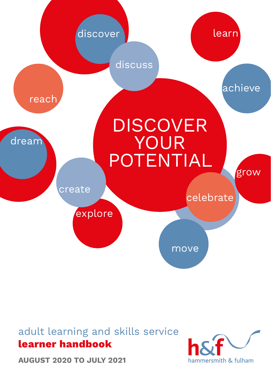

## adult learning and skills service **learner handbook**

**AUGUST 2020 TO JULY 2021**

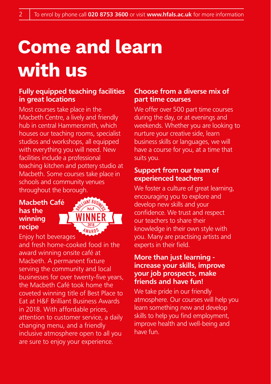# **Come and learn with us**

## **Fully equipped teaching facilities in great locations**

Most courses take place in the Macbeth Centre, a lively and friendly hub in central Hammersmith, which houses our teaching rooms, specialist studios and workshops, all equipped with everything you will need. New facilities include a professional teaching kitchen and pottery studio at Macbeth. Some courses take place in schools and community venues throughout the borough.

#### **Macbeth Café has the winning recipe**



Enjoy hot beverages

and fresh home-cooked food in the award winning onsite café at Macbeth. A permanent fixture serving the community and local businesses for over twenty-five years, the Macbeth Café took home the coveted winning title of Best Place to Eat at H&F Brilliant Business Awards in 2018. With affordable prices, attention to customer service, a daily changing menu, and a friendly inclusive atmosphere open to all you are sure to enjoy your experience.

## **Choose from a diverse mix of part time courses**

We offer over 500 part time courses during the day, or at evenings and weekends. Whether you are looking to nurture your creative side, learn business skills or languages, we will have a course for you, at a time that suits you.

#### **Support from our team of experienced teachers**

We foster a culture of great learning. encouraging you to explore and develop new skills and your confidence. We trust and respect our teachers to share their knowledge in their own style with you. Many are practising artists and experts in their field.

#### **More than just learning increase your skills, improve your job prospects, make friends and have fun!**

We take pride in our friendly atmosphere. Our courses will help you learn something new and develop skills to help you find employment, improve health and well-being and have fun.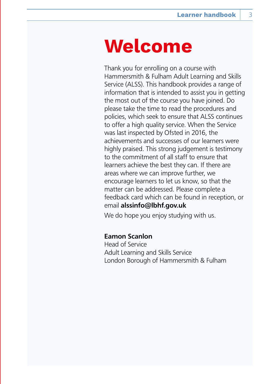## **Welcome**

Thank you for enrolling on a course with Hammersmith & Fulham Adult Learning and Skills Service (ALSS). This handbook provides a range of information that is intended to assist you in getting the most out of the course you have joined. Do please take the time to read the procedures and policies, which seek to ensure that ALSS continues to offer a high quality service. When the Service was last inspected by Ofsted in 2016, the achievements and successes of our learners were highly praised. This strong judgement is testimony to the commitment of all staff to ensure that learners achieve the best they can. If there are areas where we can improve further, we encourage learners to let us know, so that the matter can be addressed. Please complete a feedback card which can be found in reception, or email **alssinfo@lbhf.gov.uk** 

We do hope you enjoy studying with us.

#### **Eamon Scanlon**

Head of Service Adult Learning and Skills Service London Borough of Hammersmith & Fulham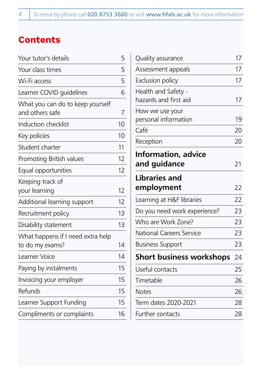## **Contents**

| Your tutor's details                                 |    |  |
|------------------------------------------------------|----|--|
| Your class times                                     | 5  |  |
| Wi-Fi access                                         | 5  |  |
| Learner COVID quidelines                             | 6  |  |
| What you can do to keep yourself<br>and others safe  | 7  |  |
| Induction checklist                                  | 10 |  |
| Key policies                                         | 10 |  |
| Student charter                                      | 11 |  |
| Promoting British values                             | 12 |  |
| Equal opportunities                                  | 12 |  |
| Keeping track of<br>your learning                    | 12 |  |
| Additional learning support                          | 12 |  |
| Recruitment policy                                   | 13 |  |
| Disability statement                                 | 13 |  |
| What happens if I need extra help<br>to do my exams? | 14 |  |
| Learner Voice                                        | 14 |  |
| Paying by instalments                                | 15 |  |
| Invoicing your employer                              | 15 |  |
| Refunds                                              | 15 |  |
| Learner Support Funding                              | 15 |  |
| Compliments or complaints                            | 16 |  |

| Quality assurance                            |    |  |  |
|----------------------------------------------|----|--|--|
| Assessment appeals                           | 17 |  |  |
| <b>Exclusion policy</b>                      | 17 |  |  |
| Health and Safety -<br>hazards and first aid | 17 |  |  |
| How we use your<br>personal information      | 19 |  |  |
| Café                                         | 20 |  |  |
| Reception                                    | 20 |  |  |
| <b>Information, advice</b><br>and guidance   | 21 |  |  |
| <b>Libraries and</b>                         |    |  |  |
| employment                                   | 22 |  |  |
| Learning at H&F libraries                    | 22 |  |  |
| Do you need work experience?                 | 23 |  |  |
| Who are Work Zone?                           | 23 |  |  |
| <b>National Careers Service</b>              | 23 |  |  |
| <b>Business Support</b>                      | 23 |  |  |
| <b>Short business workshops</b>              | 24 |  |  |
| Useful contacts                              | 25 |  |  |
| Timetable                                    | 26 |  |  |
| <b>Notes</b>                                 | 26 |  |  |
| Term dates 2020-2021                         | 28 |  |  |
| Further contacts                             | 28 |  |  |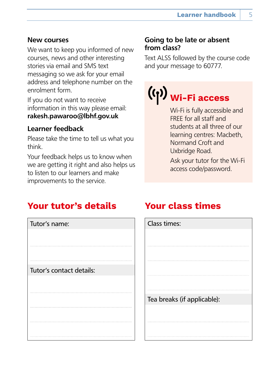## <span id="page-4-0"></span>**New courses**

We want to keep you informed of new courses, news and other interesting stories via email and SMS text messaging so we ask for your email address and telephone number on the enrolment form.

If you do not want to receive information in this way please email: **rakesh.pawaroo@lbhf.gov.uk**

## **Learner feedback**

Please take the time to tell us what you think.

Your feedback helps us to know when we are getting it right and also helps us to listen to our learners and make improvements to the service.

## **Going to be late or absent from class?**

Text ALSS followed by the course code and your message to 60777.

## **Wi-Fi access**

Wi-Fi is fully accessible and FREE for all staff and students at all three of our learning centres: Macbeth, Normand Croft and Uxbridge Road.

Ask your tutor for the Wi-Fi access code/password.

## **Your tutor's details**



## **Your class times**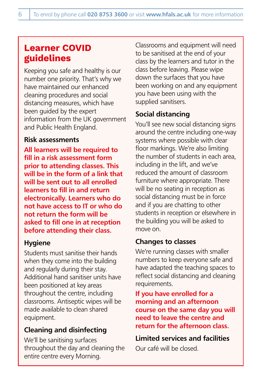## <span id="page-5-0"></span>**Learner COVID guidelines**

Keeping you safe and healthy is our number one priority. That's why we have maintained our enhanced cleaning procedures and social distancing measures, which have been guided by the expert information from the UK government and Public Health England.

#### **Risk assessments**

**All learners will be required to fill in a risk assessment form prior to attending classes. This will be in the form of a link that will be sent out to all enrolled learners to fill in and return electronically. Learners who do not have access to IT or who do not return the form will be asked to fill one in at reception before attending their class.**

## **Hygiene**

Students must sanitise their hands when they come into the building and regularly during their stay. Additional hand sanitiser units have been positioned at key areas throughout the centre, including classrooms. Antiseptic wipes will be made available to clean shared equipment.

## **Cleaning and disinfecting**

We'll be sanitising surfaces throughout the day and cleaning the entire centre every Morning.

Classrooms and equipment will need to be sanitised at the end of your class by the learners and tutor in the class before leaving. Please wipe down the surfaces that you have been working on and any equipment you have been using with the supplied sanitisers.

## **Social distancing**

You'll see new social distancing signs around the centre including one-way systems where possible with clear floor markings. We're also limiting the number of students in each area, including in the lift, and we've reduced the amount of classroom furniture where appropriate. There will be no seating in reception as social distancing must be in force and if you are chatting to other students in reception or elsewhere in the building you will be asked to move on.

## **Changes to classes**

We're running classes with smaller numbers to keep everyone safe and have adapted the teaching spaces to reflect social distancing and cleaning requirements.

**If you have enrolled for a morning and an afternoon course on the same day you will need to leave the centre and return for the afternoon class.**

**Limited services and facilities** Our café will be closed.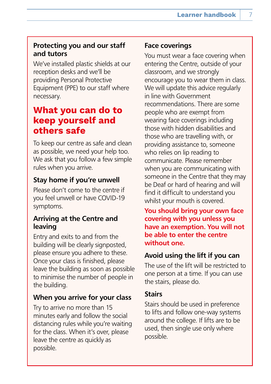#### <span id="page-6-0"></span>**Protecting you and our staff and tutors**

We've installed plastic shields at our reception desks and we'll be providing Personal Protective Equipment (PPE) to our staff where necessary.

## **What you can do to keep yourself and others safe**

To keep our centre as safe and clean as possible, we need your help too. We ask that you follow a few simple rules when you arrive.

## **Stay home if you're unwell**

Please don't come to the centre if you feel unwell or have COVID-19 symptoms.

#### **Arriving at the Centre and leaving**

Entry and exits to and from the building will be clearly signposted, please ensure you adhere to these. Once your class is finished, please leave the building as soon as possible to minimise the number of people in the building.

## **When you arrive for your class**

Try to arrive no more than 15 minutes early and follow the social distancing rules while you're waiting for the class. When it's over, please leave the centre as quickly as possible.

#### **Face coverings**

You must wear a face covering when entering the Centre, outside of your classroom, and we strongly encourage you to wear them in class. We will update this advice regularly in line with Government recommendations. There are some people who are exempt from wearing face coverings including those with hidden disabilities and those who are travelling with, or providing assistance to, someone who relies on lip reading to communicate. Please remember when you are communicating with someone in the Centre that they may be Deaf or hard of hearing and will find it difficult to understand you whilst your mouth is covered.

**You should bring your own face covering with you unless you have an exemption. You will not be able to enter the centre without one.**

## **Avoid using the lift if you can**

The use of the lift will be restricted to one person at a time. If you can use the stairs, please do.

#### **Stairs**

Stairs should be used in preference to lifts and follow one-way systems around the college. If lifts are to be used, then single use only where possible.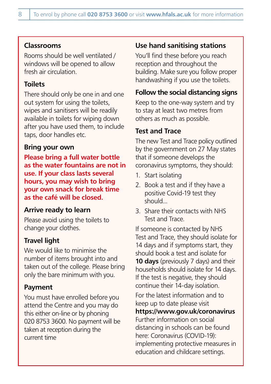#### **Classrooms**

Rooms should be well ventilated / windows will be opened to allow fresh air circulation.

#### **Toilets**

There should only be one in and one out system for using the toilets, wipes and sanitisers will be readily available in toilets for wiping down after you have used them, to include taps, door handles etc.

#### **Bring your own**

**Please bring a full water bottle as the water fountains are not in use. If your class lasts several hours, you may wish to bring your own snack for break time as the café will be closed.**

#### **Arrive ready to learn**

Please avoid using the toilets to change your clothes.

## **Travel light**

We would like to minimise the number of items brought into and taken out of the college. Please bring only the bare minimum with you.

## **Payment**

You must have enrolled before you attend the Centre and you may do this either on-line or by phoning 020 8753 3600. No payment will be taken at reception during the current time

## **Use hand sanitising stations**

You'll find these before you reach reception and throughout the building. Make sure you follow proper handwashing if you use the toilets.

#### **Follow the social distancing signs**

Keep to the one-way system and try to stay at least two metres from others as much as possible.

#### **Test and Trace**

The new Test and Trace policy outlined by the government on 27 May states that if someone develops the coronavirus symptoms, they should:

- 1. Start isolating
- 2. Book a test and if they have a positive Covid-19 test they should...
- 3. Share their contacts with NHS Test and Trace.

If someone is contacted by NHS Test and Trace, they should isolate for 14 days and if symptoms start, they should book a test and isolate for **10 days** (previously 7 days) and their households should isolate for 14 days. If the test is negative, they should continue their 14-day isolation.

For the latest information and to keep up to date please visit

**https://www.gov.uk/coronavirus**  Further information on social distancing in schools can be found here: Coronavirus (COVID-19): implementing protective measures in education and childcare settings.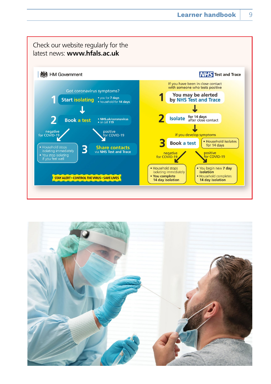

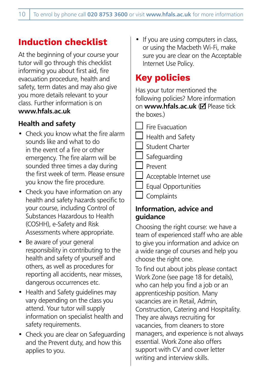## <span id="page-9-0"></span>**Induction checklist**

At the beginning of your course your tutor will go through this checklist informing you about first aid, fire evacuation procedure, health and safety, term dates and may also give you more details relevant to your class. Further information is on **www.hfals.ac.uk** 

## **Health and safety**

- Check you know what the fire alarm sounds like and what to do in the event of a fire or other emergency. The fire alarm will be sounded three times a day during the first week of term. Please ensure you know the fire procedure.
- Check you have information on any health and safety hazards specific to your course, including Control of Substances Hazardous to Health (COSHH), e-Safety and Risk Assessments where appropriate.
- Be aware of your general responsibility in contributing to the health and safety of yourself and others, as well as procedures for reporting all accidents, near misses, dangerous occurrences etc.
- Health and Safety guidelines may vary depending on the class you attend. Your tutor will supply information on specialist health and safety requirements.
- Check you are clear on Safeguarding and the Prevent duty, and how this applies to you.

If you are using computers in class, or using the Macbeth Wi-Fi, make sure you are clear on the Acceptable Internet Use Policy.

## **Key policies**

Has your tutor mentioned the following policies? More information on **www.hfals.ac.uk** (M Please tick the hoxes)

Fire Evacuation Health and Safety Student Charter Safeguarding Prevent Acceptable Internet use Equal Opportunities

## **Complaints**

#### **Information, advice and guidance**

Choosing the right course: we have a team of experienced staff who are able to give you information and advice on a wide range of courses and help you choose the right one.

To find out about jobs please contact Work Zone (see page 18 for details), who can help you find a job or an apprenticeship position. Many vacancies are in Retail, Admin, Construction, Catering and Hospitality. They are always recruiting for vacancies, from cleaners to store managers, and experience is not always essential. Work Zone also offers support with CV and cover letter writing and interview skills.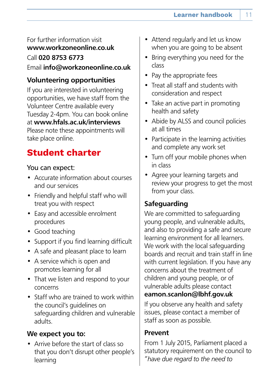## <span id="page-10-0"></span>For further information visit **www.workzoneonline.co.uk** Call **020 8753 6773** Email **info@workzoneonline.co.uk**

## **Volunteering opportunities**

If you are interested in volunteering opportunities, we have staff from the Volunteer Centre available every Tuesday 2-4pm. You can book online at **www.hfals.ac.uk/interviews** Please note these appointments will take place online.

## **Student charter**

#### You can expect:

- Accurate information about courses and our services
- Friendly and helpful staff who will treat you with respect
- Easy and accessible enrolment procedures
- Good teaching
- Support if you find learning difficult
- A safe and pleasant place to learn
- A service which is open and promotes learning for all
- That we listen and respond to your concerns
- Staff who are trained to work within the council's guidelines on safeguarding children and vulnerable adults.

## **We expect you to:**

• Arrive before the start of class so that you don't disrupt other people's learning

- Attend regularly and let us know when you are going to be absent
- Bring everything you need for the class
- Pay the appropriate fees
- Treat all staff and students with consideration and respect
- Take an active part in promoting health and safety
- Abide by ALSS and council policies at all times
- Participate in the learning activities and complete any work set
- Turn off your mobile phones when in class
- Agree your learning targets and review your progress to get the most from your class.

## **Safeguarding**

We are committed to safeguarding young people, and vulnerable adults, and also to providing a safe and secure learning environment for all learners. We work with the local safeguarding boards and recruit and train staff in line with current legislation. If you have any concerns about the treatment of children and young people, or of vulnerable adults please contact **eamon.scanlon@lbhf.gov.uk**

If you observe any health and safety issues, please contact a member of staff as soon as possible.

## **Prevent**

From 1 July 2015, Parliament placed a statutory requirement on the council to *"have due regard to the need to*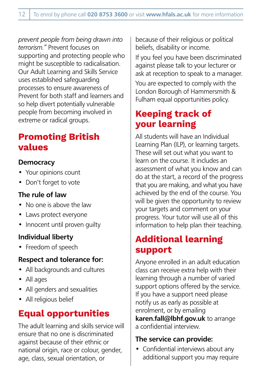<span id="page-11-0"></span>*prevent people from being drawn into terrorism."* Prevent focuses on supporting and protecting people who might be susceptible to radicalisation. Our Adult Learning and Skills Service uses established safeguarding processes to ensure awareness of Prevent for both staff and learners and so help divert potentially vulnerable people from becoming involved in extreme or radical groups.

## **Promoting British values**

## **Democracy**

- Your opinions count
- Don't forget to vote

## **The rule of law**

- No one is above the law
- Laws protect everyone
- Innocent until proven quilty

## **Individual liberty**

• Freedom of speech

## **Respect and tolerance for:**

- All backgrounds and cultures
- All ages
- All genders and sexualities
- All religious belief

## **Equal opportunities**

The adult learning and skills service will ensure that no one is discriminated against because of their ethnic or national origin, race or colour, gender, age, class, sexual orientation, or

because of their religious or political beliefs, disability or income.

If you feel you have been discriminated against please talk to your lecturer or ask at reception to speak to a manager.

You are expected to comply with the London Borough of Hammersmith & Fulham equal opportunities policy.

## **Keeping track of your learning**

All students will have an Individual Learning Plan (ILP), or learning targets. These will set out what you want to learn on the course. It includes an assessment of what you know and can do at the start, a record of the progress that you are making, and what you have achieved by the end of the course. You will be given the opportunity to review your targets and comment on your progress. Your tutor will use all of this information to help plan their teaching.

## **Additional learning support**

Anyone enrolled in an adult education class can receive extra help with their learning through a number of varied support options offered by the service. If you have a support need please notify us as early as possible at enrolment, or by emailing **karen.fall@lbhf.gov.uk** to arrange a confidential interview.

## **The service can provide:**

• Confidential interviews about any additional support you may require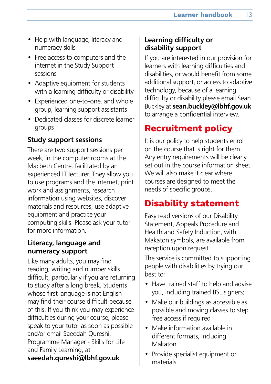- <span id="page-12-0"></span>• Help with language, literacy and numeracy skills
- Free access to computers and the internet in the Study Support sessions
- Adaptive equipment for students with a learning difficulty or disability
- Experienced one-to-one, and whole group, learning support assistants
- Dedicated classes for discrete learner groups

## **Study support sessions**

There are two support sessions per week, in the computer rooms at the Macbeth Centre, facilitated by an experienced IT lecturer. They allow you to use programs and the internet, print work and assignments, research information using websites, discover materials and resources, use adaptive equipment and practice your computing skills. Please ask your tutor for more information.

## **Literacy, language and numeracy support**

Like many adults, you may find reading, writing and number skills difficult, particularly if you are returning to study after a long break. Students whose first language is not English may find their course difficult because of this. If you think you may experience difficulties during your course, please speak to your tutor as soon as possible and/or email Saeedah Qureshi, Programme Manager - Skills for Life and Family Learning, at **saeedah.qureshi@lbhf.gov.uk**

## **Learning difficulty or disability support**

If you are interested in our provision for learners with learning difficulties and disabilities, or would benefit from some additional support, or access to adaptive technology, because of a learning difficulty or disability please email Sean Buckley at **sean.buckley@lbhf.gov.uk**  to arrange a confidential interview.

## **Recruitment policy**

It is our policy to help students enrol on the course that is right for them. Any entry requirements will be clearly set out in the course information sheet. We will also make it clear where courses are designed to meet the needs of specific groups.

## **Disability statement**

Easy read versions of our Disability Statement, Appeals Procedure and Health and Safety Induction, with Makaton symbols, are available from reception upon request.

The service is committed to supporting people with disabilities by trying our best to:

- Have trained staff to help and advise you, including trained BSL signers;
- Make our buildings as accessible as possible and moving classes to step free access if required
- Make information available in different formats, including Makaton.
- Provide specialist equipment or materials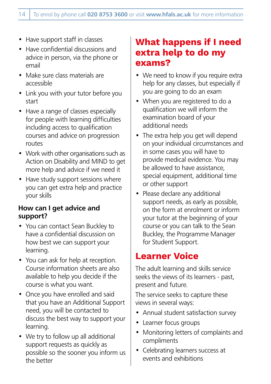- <span id="page-13-0"></span>• Have support staff in classes
- Have confidential discussions and advice in person, via the phone or email
- Make sure class materials are accessible
- Link you with your tutor before you start
- Have a range of classes especially for people with learning difficulties including access to qualification courses and advice on progression routes
- Work with other organisations such as Action on Disability and MIND to get more help and advice if we need it
- Have study support sessions where you can get extra help and practice your skills

## **How can I get advice and support?**

- You can contact Sean Buckley to have a confidential discussion on how best we can support your learning.
- You can ask for help at reception. Course information sheets are also available to help you decide if the course is what you want.
- Once you have enrolled and said that you have an Additional Support need, you will be contacted to discuss the best way to support your learning.
- We try to follow up all additional support requests as quickly as possible so the sooner you inform us the better

## **What happens if I need extra help to do my exams?**

- We need to know if you require extra help for any classes, but especially if you are going to do an exam
- When you are registered to do a qualification we will inform the examination board of your additional needs
- The extra help you get will depend on your individual circumstances and in some cases you will have to provide medical evidence. You may be allowed to have assistance, special equipment, additional time or other support
- Please declare any additional support needs, as early as possible, on the form at enrolment or inform your tutor at the beginning of your course or you can talk to the Sean Buckley, the Programme Manager for Student Support.

## **Learner Voice**

The adult learning and skills service seeks the views of its learners - past, present and future.

The service seeks to capture these views in several ways:

- Annual student satisfaction survey
- Learner focus groups
- Monitoring letters of complaints and compliments
- Celebrating learners success at events and exhibitions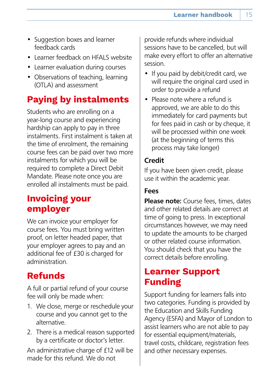- <span id="page-14-0"></span>• Suggestion boxes and learner feedback cards
- Learner feedback on HFALS website
- Learner evaluation during courses
- Observations of teaching, learning (OTLA) and assessment

## **Paying by instalments**

Students who are enrolling on a year-long course and experiencing hardship can apply to pay in three instalments. First instalment is taken at the time of enrolment, the remaining course fees can be paid over two more instalments for which you will be required to complete a Direct Debit Mandate. Please note once you are enrolled all instalments must be paid.

## **Invoicing your employer**

We can invoice your employer for course fees. You must bring written proof, on letter headed paper, that your employer agrees to pay and an additional fee of £30 is charged for administration.

## **Refunds**

A full or partial refund of your course fee will only be made when:

- 1. We close, merge or reschedule your course and you cannot get to the alternative.
- 2. There is a medical reason supported by a certificate or doctor's letter.

An administrative charge of £12 will be made for this refund. We do not

provide refunds where individual sessions have to be cancelled, but will make every effort to offer an alternative session.

- If you paid by debit/credit card, we will require the original card used in order to provide a refund
- Please note where a refund is approved, we are able to do this immediately for card payments but for fees paid in cash or by cheque, it will be processed within one week (at the beginning of terms this process may take longer)

## **Credit**

If you have been given credit, please use it within the academic year.

## **Fees**

**Please note:** Course fees, times, dates and other related details are correct at time of going to press. In exceptional circumstances however, we may need to update the amounts to be charged or other related course information. You should check that you have the correct details before enrolling.

## **Learner Support Funding**

Support funding for learners falls into two categories. Funding is provided by the Education and Skills Funding Agency (ESFA) and Mayor of London to assist learners who are not able to pay for essential equipment/materials, travel costs, childcare, registration fees and other necessary expenses.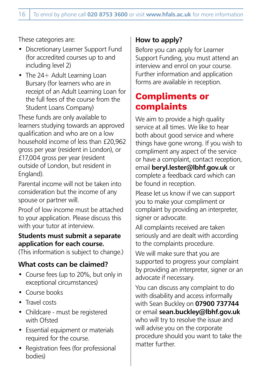<span id="page-15-0"></span>These categories are:

- Discretionary Learner Support Fund (for accredited courses up to and including level 2)
- The 24+ Adult Learning Loan Bursary (for learners who are in receipt of an Adult Learning Loan for the full fees of the course from the Student Loans Company)

These funds are only available to learners studying towards an approved qualification and who are on a low household income of less than £20,962 gross per year (resident in London), or £17,004 gross per year (resident outside of London, but resident in England).

Parental income will not be taken into consideration but the income of any spouse or partner will.

Proof of low income must be attached to your application. Please discuss this with your tutor at interview.

#### **Students must submit a separate application for each course.**

(This information is subject to change.)

## **What costs can be claimed?**

- Course fees (up to 20%, but only in exceptional circumstances)
- Course books
- Travel costs
- Childcare must be registered with Ofsted
- Essential equipment or materials required for the course.
- Registration fees (for professional bodies)

## **How to apply?**

Before you can apply for Learner Support Funding, you must attend an interview and enrol on your course. Further information and application forms are available in reception.

## **Compliments or complaints**

We aim to provide a high quality service at all times. We like to hear both about good service and where things have gone wrong. If you wish to compliment any aspect of the service or have a complaint, contact reception, email **beryl.lester@lbhf.gov.uk** or complete a feedback card which can be found in reception.

Please let us know if we can support you to make your compliment or complaint by providing an interpreter, signer or advocate.

All complaints received are taken seriously and are dealt with according to the complaints procedure.

We will make sure that you are supported to progress your complaint by providing an interpreter, signer or an advocate if necessary.

You can discuss any complaint to do with disability and access informally with Sean Buckley on **07900 737744**  or email **sean.buckley@lbhf.gov.uk**  who will try to resolve the issue and will advise you on the corporate procedure should you want to take the matter further.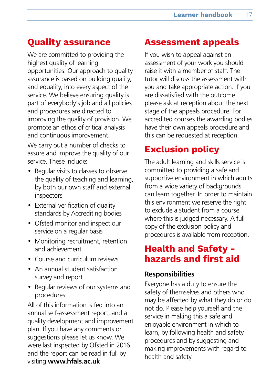## <span id="page-16-0"></span>**Quality assurance**

We are committed to providing the highest quality of learning opportunities. Our approach to quality assurance is based on building quality, and equality, into every aspect of the service. We believe ensuring quality is part of everybody's job and all policies and procedures are directed to improving the quality of provision. We promote an ethos of critical analysis and continuous improvement.

We carry out a number of checks to assure and improve the quality of our service. These include:

- Regular visits to classes to observe the quality of teaching and learning, by both our own staff and external inspectors
- External verification of quality standards by Accrediting bodies
- Ofsted monitor and inspect our service on a regular basis
- Monitoring recruitment, retention and achievement
- Course and curriculum reviews
- An annual student satisfaction survey and report
- Regular reviews of our systems and procedures

All of this information is fed into an annual self-assessment report, and a quality development and improvement plan. If you have any comments or suggestions please let us know. We were last inspected by Ofsted in 2016 and the report can be read in full by visiting **www.hfals.ac.uk**

## **Assessment appeals**

If you wish to appeal against an assessment of your work you should raise it with a member of staff. The tutor will discuss the assessment with you and take appropriate action. If you are dissatisfied with the outcome please ask at reception about the next stage of the appeals procedure. For accredited courses the awarding bodies have their own appeals procedure and this can be requested at reception.

## **Exclusion policy**

The adult learning and skills service is committed to providing a safe and supportive environment in which adults from a wide variety of backgrounds can learn together. In order to maintain this environment we reserve the right to exclude a student from a course where this is judged necessary. A full copy of the exclusion policy and procedures is available from reception.

## **Health and Safety hazards and first aid**

#### **Responsibilities**

Everyone has a duty to ensure the safety of themselves and others who may be affected by what they do or do not do. Please help yourself and the service in making this a safe and enjoyable environment in which to learn, by following health and safety procedures and by suggesting and making improvements with regard to health and safety.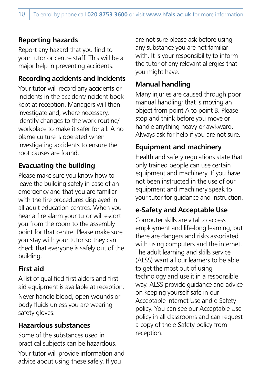## **Reporting hazards**

Report any hazard that you find to your tutor or centre staff. This will be a major help in preventing accidents.

## **Recording accidents and incidents**

Your tutor will record any accidents or incidents in the accident/incident book kept at reception. Managers will then investigate and, where necessary, identify changes to the work routine/ workplace to make it safer for all. A no blame culture is operated when investigating accidents to ensure the root causes are found.

## **Evacuating the building**

Please make sure you know how to leave the building safely in case of an emergency and that you are familiar with the fire procedures displayed in all adult education centres. When you hear a fire alarm your tutor will escort you from the room to the assembly point for that centre. Please make sure you stay with your tutor so they can check that everyone is safely out of the building.

## **First aid**

A list of qualified first aiders and first aid equipment is available at reception. Never handle blood, open wounds or body fluids unless you are wearing safety gloves.

## **Hazardous substances**

Some of the substances used in practical subjects can be hazardous. Your tutor will provide information and advice about using these safely. If you

are not sure please ask before using any substance you are not familiar with. It is your responsibility to inform the tutor of any relevant allergies that you might have.

## **Manual handling**

Many injuries are caused through poor manual handling; that is moving an object from point A to point B. Please stop and think before you move or handle anything heavy or awkward. Always ask for help if you are not sure.

## **Equipment and machinery**

Health and safety regulations state that only trained people can use certain equipment and machinery. If you have not been instructed in the use of our equipment and machinery speak to your tutor for guidance and instruction.

## **e-Safety and Acceptable Use**

Computer skills are vital to access employment and life-long learning, but there are dangers and risks associated with using computers and the internet. The adult learning and skills service (ALSS) want all our learners to be able to get the most out of using technology and use it in a responsible way. ALSS provide guidance and advice on keeping yourself safe in our Acceptable Internet Use and e-Safety policy. You can see our Acceptable Use policy in all classrooms and can request a copy of the e-Safety policy from reception.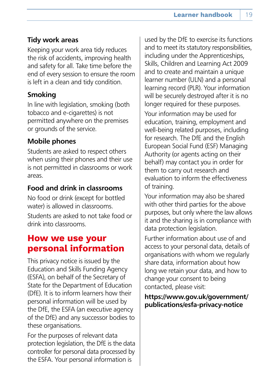## <span id="page-18-0"></span>**Tidy work areas**

Keeping your work area tidy reduces the risk of accidents, improving health and safety for all. Take time before the end of every session to ensure the room is left in a clean and tidy condition.

## **Smoking**

In line with legislation, smoking (both tobacco and e-cigarettes) is not permitted anywhere on the premises or grounds of the service.

## **Mobile phones**

Students are asked to respect others when using their phones and their use is not permitted in classrooms or work areas.

## **Food and drink in classrooms**

No food or drink (except for bottled water) is allowed in classrooms. Students are asked to not take food or drink into classrooms.

## **How we use your personal information**

This privacy notice is issued by the Education and Skills Funding Agency (ESFA), on behalf of the Secretary of State for the Department of Education (DfE). It is to inform learners how their personal information will be used by the DfE, the ESFA (an executive agency of the DfE) and any successor bodies to these organisations.

For the purposes of relevant data protection legislation, the DfE is the data controller for personal data processed by the ESFA. Your personal information is

used by the DfE to exercise its functions and to meet its statutory responsibilities, including under the Apprenticeships, Skills, Children and Learning Act 2009 and to create and maintain a unique learner number (ULN) and a personal learning record (PLR). Your information will be securely destroyed after it is no longer required for these purposes.

Your information may be used for education, training, employment and well-being related purposes, including for research. The DfE and the English European Social Fund (ESF) Managing Authority (or agents acting on their behalf) may contact you in order for them to carry out research and evaluation to inform the effectiveness of training.

Your information may also be shared with other third parties for the above purposes, but only where the law allows it and the sharing is in compliance with data protection legislation.

Further information about use of and access to your personal data, details of organisations with whom we regularly share data, information about how long we retain your data, and how to change your consent to being contacted, please visit:

#### **https://www.gov.uk/government/ publications/esfa-privacy-notice**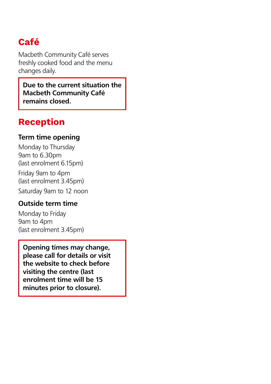## <span id="page-19-0"></span>**Café**

Macbeth Community Café serves freshly cooked food and the menu changes daily.

**Due to the current situation the Macbeth Community Café remains closed.**

## **Reception**

#### **Term time opening**

Monday to Thursday 9am to 6.30pm (last enrolment 6.15pm)

Friday 9am to 4pm (last enrolment 3.45pm)

Saturday 9am to 12 noon

## **Outside term time**

Monday to Friday 9am to 4pm (last enrolment 3.45pm)

**Opening times may change, please call for details or visit the website to check before visiting the centre (last enrolment time will be 15 minutes prior to closure).**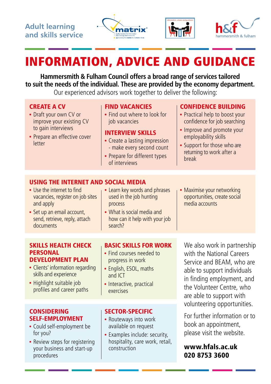





## <span id="page-20-0"></span>INFORMATION, ADVICE AND GUIDANCE

**Hammersmith & Fulham Council offers a broad range of services tailored to suit the needs of the individual. These are provided by the economy department.**

Our experienced advisors work together to deliver the following:

#### CREATE A CV

- Draft your own CV or improve your existing CV to gain interviews
- Prepare an effective cover letter

#### FIND VACANCIES

Find out where to look for job vacancies

#### INTERVIEW SKILLS

- Create a lasting impression - make every second count
- Prepare for different types of interviews

#### CONFIDENCE BUILDING

- Practical help to boost your confidence for job searching
- Improve and promote your employability skills
- Support for those who are returning to work after a break

#### USING THE INTERNET AND SOCIAL MEDIA

- Use the internet to find vacancies, register on job sites and apply
- Set up an email account. send, retrieve, reply, attach documents
- Learn key words and phrases used in the job hunting process
- What is social media and how can it help with your job search?
- Maximise your networking opportunities, create social media accounts

#### SKILLS HEALTH CHECK PERSONAL DEVELOPMENT PLAN

- Clients' information regarding skills and experience
- Highlight suitable job profiles and career paths

#### **CONSIDERING** SELF-EMPLOYMENT

- Could self-employment be for you?
- Review steps for registering your business and start-up procedures

#### BASIC SKILLS FOR WORK • Find courses needed to

- progress in work • English, ESOL, maths
- and ICT
- Interactive, practical exercises

#### SECTOR-SPECIFIC

- Routeways into work available on request
- Examples include: security, hospitality, care work, retail, construction

We also work in partnership with the National Careers Service and BEAM, who are able to support individuals in finding employment, and the Volunteer Centre, who are able to support with volunteering opportunities.

For further information or to book an appointment, please visit the website.

#### www.hfals.ac.uk 020 8753 3600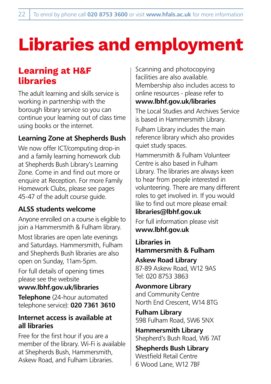# <span id="page-21-0"></span>**Libraries and employment**

## **Learning at H&F libraries**

The adult learning and skills service is working in partnership with the borough library service so you can continue your learning out of class time using books or the internet.

## **Learning Zone at Shepherds Bush**

We now offer ICT/computing drop-in and a family learning homework club at Shepherds Bush Library's Learning Zone. Come in and find out more or enquire at Reception. For more Family Homework Clubs, please see pages 45-47 of the adult course guide.

## **ALSS students welcome**

Anyone enrolled on a course is eligible to join a Hammersmith & Fulham library.

Most libraries are open late evenings and Saturdays. Hammersmith, Fulham and Shepherds Bush libraries are also open on Sunday, 11am-5pm.

For full details of opening times please see the website

## **www.lbhf.gov.uk/libraries**

**Telephone** (24-hour automated telephone service): **020 7361 3610** 

## **Internet access is available at all libraries**

Free for the first hour if you are a member of the library. Wi-Fi is available at Shepherds Bush, Hammersmith, Askew Road, and Fulham Libraries.

Scanning and photocopying facilities are also available. Membership also includes access to online resources - please refer to **www.lbhf.gov.uk/libraries** 

The Local Studies and Archives Service is based in Hammersmith Library. Fulham Library includes the main reference library which also provides quiet study spaces.

Hammersmith & Fulham Volunteer Centre is also based in Fulham Library. The libraries are always keen to hear from people interested in volunteering. There are many different roles to get involved in. If you would like to find out more please email:

## **libraries@lbhf.gov.uk**

For full information please visit **www.lbhf.gov.uk**

**Libraries in Hammersmith & Fulham Askew Road Library** 87-89 Askew Road, W12 9AS Tel: 020 8753 3863

**Avonmore Library**  and Community Centre North End Crescent, W14 8TG

**Fulham Library** 598 Fulham Road, SW6 5NX

**Hammersmith Library** Shepherd's Bush Road, W6 7AT

**Shepherds Bush Library** Westfield Retail Centre 6 Wood Lane, W12 7BF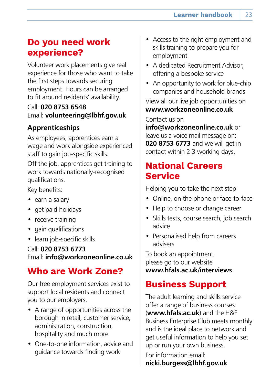## <span id="page-22-0"></span>**Do you need work experience?**

Volunteer work placements give real experience for those who want to take the first steps towards securing employment. Hours can be arranged to fit around residents' availability.

## Call: **020 8753 6548**  Email: **volunteering@lbhf.gov.uk**

## **Apprenticeships**

As employees, apprentices earn a wage and work alongside experienced staff to gain job-specific skills.

Off the job, apprentices get training to work towards nationally-recognised qualifications.

Key benefits:

- earn a salary
- get paid holidays
- receive training
- gain qualifications
- learn job-specific skills

Call: **020 8753 6773**  Email: **info@workzoneonline.co.uk**

## **Who are Work Zone?**

Our free employment services exist to support local residents and connect you to our employers.

- A range of opportunities across the borough in retail, customer service, administration, construction, hospitality and much more
- One-to-one information, advice and guidance towards finding work
- Access to the right employment and skills training to prepare you for employment
- A dedicated Recruitment Advisor, offering a bespoke service
- An opportunity to work for blue-chip companies and household brands

View all our live job opportunities on **www.workzoneonline.co.uk** 

Contact us on

**info@workzoneonline.co.uk** or leave us a voice mail message on: **020 8753 6773** and we will get in contact within 2-3 working days.

## **National Careers Service**

Helping you to take the next step

- Online, on the phone or face-to-face
- Help to choose or change career
- Skills tests, course search, job search advice
- Personalised help from careers advisers

To book an appointment, please go to our website **www.hfals.ac.uk/interviews**

## **Business Support**

The adult learning and skills service offer a range of business courses (**www.hfals.ac.uk**) and the H&F Business Enterprise Club meets monthly and is the ideal place to network and get useful information to help you set up or run your own business.

For information email: **nicki.burgess@lbhf.gov.uk**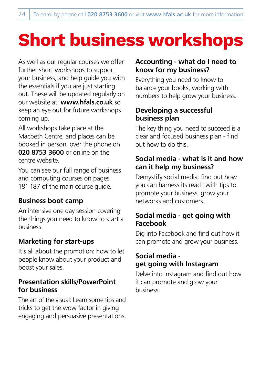# <span id="page-23-0"></span>**Short business workshops**

As well as our regular courses we offer further short workshops to support your business, and help guide you with the essentials if you are just starting out. These will be updated regularly on our website at: **www.hfals.co.uk** so keep an eye out for future workshops coming up.

All workshops take place at the Macbeth Centre, and places can be booked in person, over the phone on **020 8753 3600** or online on the centre website.

You can see our full range of business and computing courses on pages 181-187 of the main course quide.

## **Business boot camp**

An intensive one day session covering the things you need to know to start a business.

## **Marketing for start-ups**

It's all about the promotion: how to let people know about your product and boost your sales.

#### **Presentation skills/PowerPoint for business**

The art of the visual: Learn some tips and tricks to get the wow factor in giving engaging and persuasive presentations.

#### **Accounting - what do I need to know for my business?**

Everything you need to know to balance your books, working with numbers to help grow your business.

## **Developing a successful business plan**

The key thing you need to succeed is a clear and focused business plan - find out how to do this.

## **Social media - what is it and how can it help my business?**

Demystify social media: find out how you can harness its reach with tips to promote your business, grow your networks and customers.

## **Social media - get going with Facebook**

Dig into Facebook and find out how it can promote and grow your business.

## **Social media get going with Instagram**

Delve into Instagram and find out how it can promote and grow your business.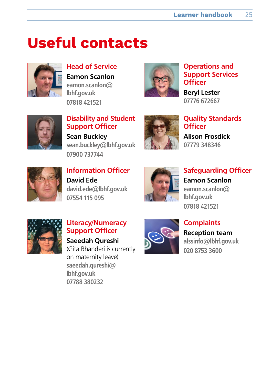## <span id="page-24-0"></span>**Useful contacts**



**Head of Service Eamon Scanlon eamon.scanlon@ lbhf.gov.uk 07818 421521**



**Operations and Support Services Officer**

**Beryl Lester 07776 672667**



**Disability and Student Support Officer Sean Buckley sean.buckley@lbhf.gov.uk 07900 737744**



**Quality Standards Officer Alison Frosdick 07779 348346**



**Information Officer David Ede david.ede@lbhf.gov.uk 07554 115 095**



**Safeguarding Officer Eamon Scanlon eamon.scanlon@ lbhf.gov.uk 07818 421521**



#### **Literacy/Numeracy Support Officer**

**Saeedah Qureshi** (Gita Bhanderi is currently on maternity leave) **saeedah.qureshi@ lbhf.gov.uk 07788 380232**



**Complaints Reception team alssinfo@lbhf.gov.uk 020 8753 3600**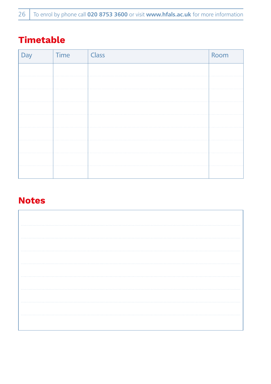## <span id="page-25-0"></span>**Timetable**

| Day | Time | Class | Room |
|-----|------|-------|------|
|     |      |       |      |
|     |      |       |      |
|     |      |       |      |
|     |      |       |      |
|     |      |       |      |
|     |      |       |      |
|     |      |       |      |
|     |      |       |      |
|     |      |       |      |

## **Notes**